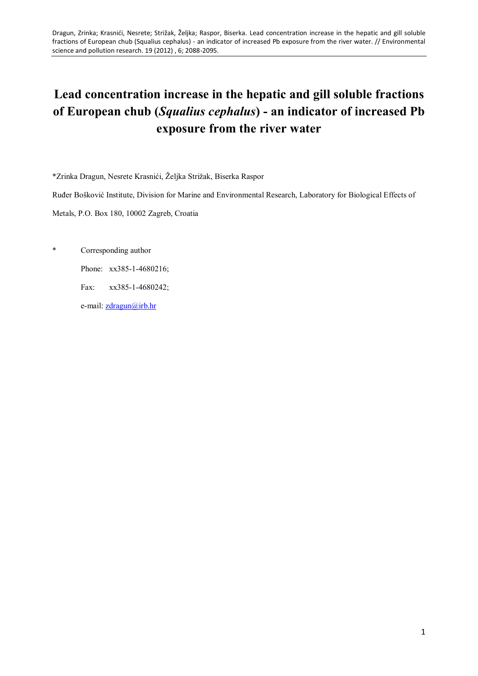# **Lead concentration increase in the hepatic and gill soluble fractions of European chub (***Squalius cephalus***) - an indicator of increased Pb exposure from the river water**

\*Zrinka Dragun, Nesrete Krasnići, Željka Strižak, Biserka Raspor

Ruđer Bošković Institute, Division for Marine and Environmental Research, Laboratory for Biological Effects of

Metals, P.O. Box 180, 10002 Zagreb, Croatia

\* Corresponding author

Phone: xx385-1-4680216;

Fax: xx385-1-4680242;

e-mail: [zdragun@irb.hr](mailto:zdragun@irb.hr)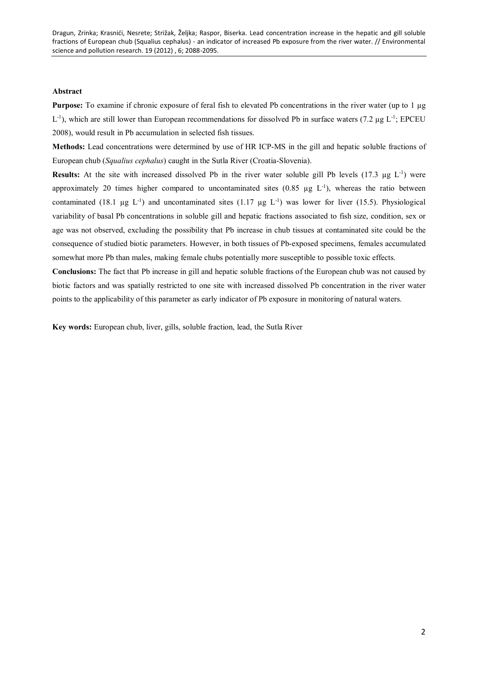# **Abstract**

**Purpose:** To examine if chronic exposure of feral fish to elevated Pb concentrations in the river water (up to 1 µg  $L^{-1}$ ), which are still lower than European recommendations for dissolved Pb in surface waters (7.2 µg  $L^{-1}$ ; EPCEU 2008), would result in Pb accumulation in selected fish tissues.

**Methods:** Lead concentrations were determined by use of HR ICP-MS in the gill and hepatic soluble fractions of European chub (*Squalius cephalus*) caught in the Sutla River (Croatia-Slovenia).

**Results:** At the site with increased dissolved Pb in the river water soluble gill Pb levels  $(17.3 \mu g L^{-1})$  were approximately 20 times higher compared to uncontaminated sites  $(0.85 \mu g L^{-1})$ , whereas the ratio between contaminated (18.1 µg  $L^{-1}$ ) and uncontaminated sites (1.17 µg  $L^{-1}$ ) was lower for liver (15.5). Physiological variability of basal Pb concentrations in soluble gill and hepatic fractions associated to fish size, condition, sex or age was not observed, excluding the possibility that Pb increase in chub tissues at contaminated site could be the consequence of studied biotic parameters. However, in both tissues of Pb-exposed specimens, females accumulated somewhat more Pb than males, making female chubs potentially more susceptible to possible toxic effects.

**Conclusions:** The fact that Pb increase in gill and hepatic soluble fractions of the European chub was not caused by biotic factors and was spatially restricted to one site with increased dissolved Pb concentration in the river water points to the applicability of this parameter as early indicator of Pb exposure in monitoring of natural waters.

**Key words:** European chub, liver, gills, soluble fraction, lead, the Sutla River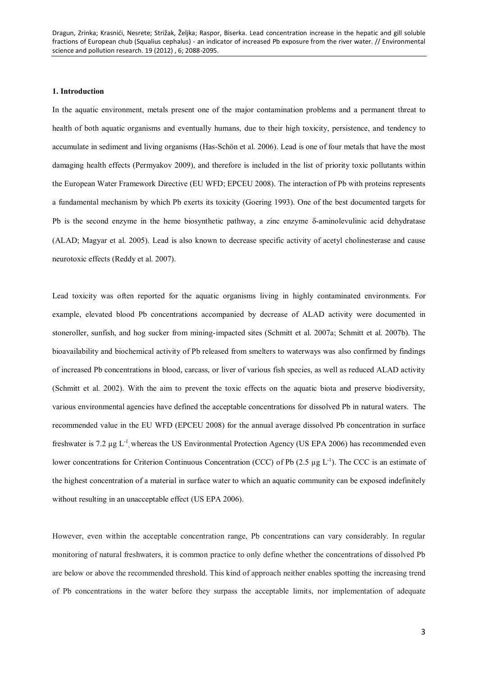# **1. Introduction**

In the aquatic environment, metals present one of the major contamination problems and a permanent threat to health of both aquatic organisms and eventually humans, due to their high toxicity, persistence, and tendency to accumulate in sediment and living organisms (Has-Schön et al. 2006). Lead is one of four metals that have the most damaging health effects (Permyakov 2009), and therefore is included in the list of priority toxic pollutants within the European Water Framework Directive (EU WFD; EPCEU 2008). The interaction of Pb with proteins represents a fundamental mechanism by which Pb exerts its toxicity (Goering 1993). One of the best documented targets for Pb is the second enzyme in the heme biosynthetic pathway, a zinc enzyme  $\delta$ -aminolevulinic acid dehydratase (ALAD; Magyar et al. 2005). Lead is also known to decrease specific activity of acetyl cholinesterase and cause neurotoxic effects (Reddy et al. 2007).

Lead toxicity was often reported for the aquatic organisms living in highly contaminated environments. For example, elevated blood Pb concentrations accompanied by decrease of ALAD activity were documented in stoneroller, sunfish, and hog sucker from mining-impacted sites (Schmitt et al. 2007a; Schmitt et al. 2007b). The bioavailability and biochemical activity of Pb released from smelters to waterways was also confirmed by findings of increased Pb concentrations in blood, carcass, or liver of various fish species, as well as reduced ALAD activity (Schmitt et al. 2002). With the aim to prevent the toxic effects on the aquatic biota and preserve biodiversity, various environmental agencies have defined the acceptable concentrations for dissolved Pb in natural waters. The recommended value in the EU WFD (EPCEU 2008) for the annual average dissolved Pb concentration in surface freshwater is 7.2 µg L<sup>-1</sup>, whereas the US Environmental Protection Agency (US EPA 2006) has recommended even lower concentrations for Criterion Continuous Concentration (CCC) of Pb (2.5 µg L<sup>-1</sup>). The CCC is an estimate of the highest concentration of a material in surface water to which an aquatic community can be exposed indefinitely without resulting in an unacceptable effect (US EPA 2006).

However, even within the acceptable concentration range, Pb concentrations can vary considerably. In regular monitoring of natural freshwaters, it is common practice to only define whether the concentrations of dissolved Pb are below or above the recommended threshold. This kind of approach neither enables spotting the increasing trend of Pb concentrations in the water before they surpass the acceptable limits, nor implementation of adequate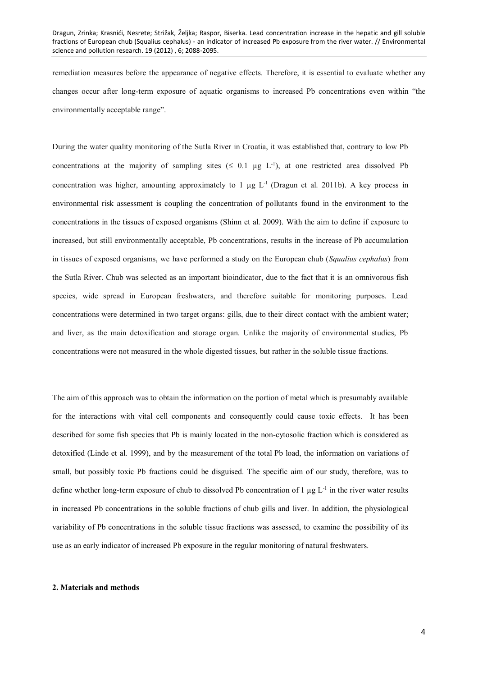remediation measures before the appearance of negative effects. Therefore, it is essential to evaluate whether any changes occur after long-term exposure of aquatic organisms to increased Pb concentrations even within "the environmentally acceptable range".

During the water quality monitoring of the Sutla River in Croatia, it was established that, contrary to low Pb concentrations at the majority of sampling sites  $( \leq 0.1 \mu g L^{-1})$ , at one restricted area dissolved Pb concentration was higher, amounting approximately to 1  $\mu$ g L<sup>-1</sup> (Dragun et al. 2011b). A key process in environmental risk assessment is coupling the concentration of pollutants found in the environment to the concentrations in the tissues of exposed organisms (Shinn et al. 2009). With the aim to define if exposure to increased, but still environmentally acceptable, Pb concentrations, results in the increase of Pb accumulation in tissues of exposed organisms, we have performed a study on the European chub (*Squalius cephalus*) from the Sutla River. Chub was selected as an important bioindicator, due to the fact that it is an omnivorous fish species, wide spread in European freshwaters, and therefore suitable for monitoring purposes. Lead concentrations were determined in two target organs: gills, due to their direct contact with the ambient water; and liver, as the main detoxification and storage organ. Unlike the majority of environmental studies, Pb concentrations were not measured in the whole digested tissues, but rather in the soluble tissue fractions.

The aim of this approach was to obtain the information on the portion of metal which is presumably available for the interactions with vital cell components and consequently could cause toxic effects. It has been described for some fish species that Pb is mainly located in the non-cytosolic fraction which is considered as detoxified (Linde et al. 1999), and by the measurement of the total Pb load, the information on variations of small, but possibly toxic Pb fractions could be disguised. The specific aim of our study, therefore, was to define whether long-term exposure of chub to dissolved Pb concentration of  $1 \mu g L^{-1}$  in the river water results in increased Pb concentrations in the soluble fractions of chub gills and liver. In addition, the physiological variability of Pb concentrations in the soluble tissue fractions was assessed, to examine the possibility of its use as an early indicator of increased Pb exposure in the regular monitoring of natural freshwaters.

#### **2. Materials and methods**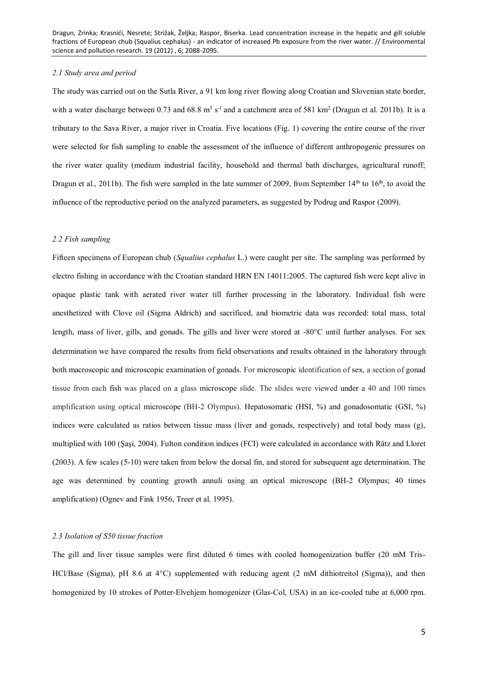### *2.1 Study area and period*

The study was carried out on the Sutla River, a 91 km long river flowing along Croatian and Slovenian state border, with a water discharge between 0.73 and  $68.8 \text{ m}^3 \text{ s}^{-1}$  and a catchment area of 581 km<sup>2</sup> (Dragun et al. 2011b). It is a tributary to the Sava River, a major river in Croatia. Five locations (Fig. 1) covering the entire course of the river were selected for fish sampling to enable the assessment of the influence of different anthropogenic pressures on the river water quality (medium industrial facility, household and thermal bath discharges, agricultural runoff; Dragun et al., 2011b). The fish were sampled in the late summer of 2009, from September  $14<sup>th</sup>$  to 16<sup>th</sup>, to avoid the influence of the reproductive period on the analyzed parameters, as suggested by Podrug and Raspor (2009).

#### *2.2 Fish sampling*

Fifteen specimens of European chub (*Squalius cephalus* L.) were caught per site. The sampling was performed by electro fishing in accordance with the Croatian standard HRN EN 14011:2005. The captured fish were kept alive in opaque plastic tank with aerated river water till further processing in the laboratory. Individual fish were anesthetized with Clove oil (Sigma Aldrich) and sacrificed, and biometric data was recorded: total mass, total length, mass of liver, gills, and gonads. The gills and liver were stored at  $-80^{\circ}$ C until further analyses. For sex determination we have compared the results from field observations and results obtained in the laboratory through both macroscopic and microscopic examination of gonads. For microscopic identification of sex, a section of gonad tissue from each fish was placed on a glass microscope slide. The slides were viewed under a 40 and 100 times amplification using optical microscope (BH-2 Olympus). Hepatosomatic (HSI, %) and gonadosomatic (GSI, %) indices were calculated as ratios between tissue mass (liver and gonads, respectively) and total body mass (g), multiplied with 100 (Şaşi, 2004). Fulton condition indices (FCI) were calculated in accordance with Rätz and Lloret (2003). A few scales (5-10) were taken from below the dorsal fin, and stored for subsequent age determination. The age was determined by counting growth annuli using an optical microscope (BH-2 Olympus; 40 times amplification) (Ognev and Fink 1956, Treer et al. 1995).

#### *2.3 Isolation of S50 tissue fraction*

The gill and liver tissue samples were first diluted 6 times with cooled homogenization buffer (20 mM Tris-HCl/Base (Sigma), pH 8.6 at 4°C) supplemented with reducing agent (2 mM dithiotreitol (Sigma)), and then homogenized by 10 strokes of Potter-Elvehjem homogenizer (Glas-Col, USA) in an ice-cooled tube at 6,000 rpm.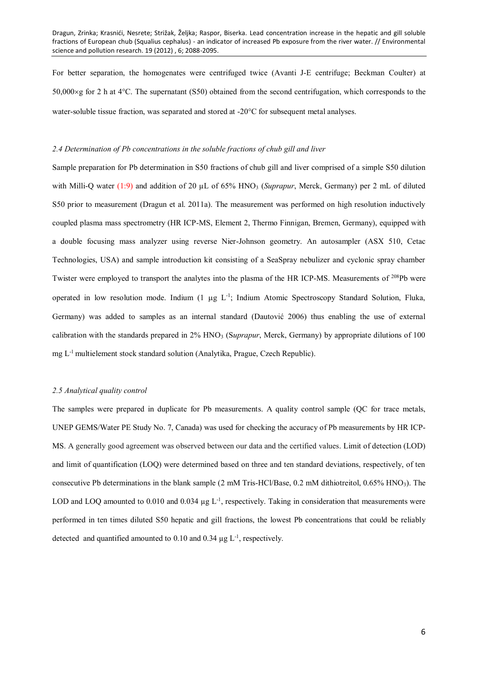For better separation, the homogenates were centrifuged twice (Avanti J-E centrifuge; Beckman Coulter) at 50,000 $\times$ g for 2 h at 4 $\degree$ C. The supernatant (S50) obtained from the second centrifugation, which corresponds to the water-soluble tissue fraction, was separated and stored at  $-20^{\circ}$ C for subsequent metal analyses.

### *2.4 Determination of Pb concentrations in the soluble fractions of chub gill and liver*

Sample preparation for Pb determination in S50 fractions of chub gill and liver comprised of a simple S50 dilution with Milli-Q water (1:9) and addition of 20 µL of 65% HNO<sub>3</sub> (*Suprapur*, Merck, Germany) per 2 mL of diluted S50 prior to measurement (Dragun et al. 2011a). The measurement was performed on high resolution inductively coupled plasma mass spectrometry (HR ICP-MS, Element 2, Thermo Finnigan, Bremen, Germany), equipped with a double focusing mass analyzer using reverse Nier-Johnson geometry. An autosampler (ASX 510, Cetac Technologies, USA) and sample introduction kit consisting of a SeaSpray nebulizer and cyclonic spray chamber Twister were employed to transport the analytes into the plasma of the HR ICP-MS. Measurements of <sup>208</sup>Pb were operated in low resolution mode. Indium (1 µg L<sup>-1</sup>; Indium Atomic Spectroscopy Standard Solution, Fluka, Germany) was added to samples as an internal standard (Dautović 2006) thus enabling the use of external calibration with the standards prepared in 2% HNO<sub>3</sub> (Suprapur, Merck, Germany) by appropriate dilutions of 100 mg L-1 multielement stock standard solution (Analytika, Prague, Czech Republic).

# *2.5 Analytical quality control*

The samples were prepared in duplicate for Pb measurements. A quality control sample (QC for trace metals, UNEP GEMS/Water PE Study No. 7, Canada) was used for checking the accuracy of Pb measurements by HR ICP-MS. A generally good agreement was observed between our data and the certified values. Limit of detection (LOD) and limit of quantification (LOQ) were determined based on three and ten standard deviations, respectively, of ten consecutive Pb determinations in the blank sample (2 mM Tris-HCl/Base, 0.2 mM dithiotreitol, 0.65% HNO3). The LOD and LOQ amounted to 0.010 and 0.034 µg L<sup>-1</sup>, respectively. Taking in consideration that measurements were performed in ten times diluted S50 hepatic and gill fractions, the lowest Pb concentrations that could be reliably detected and quantified amounted to  $0.10$  and  $0.34 \mu g L^{-1}$ , respectively.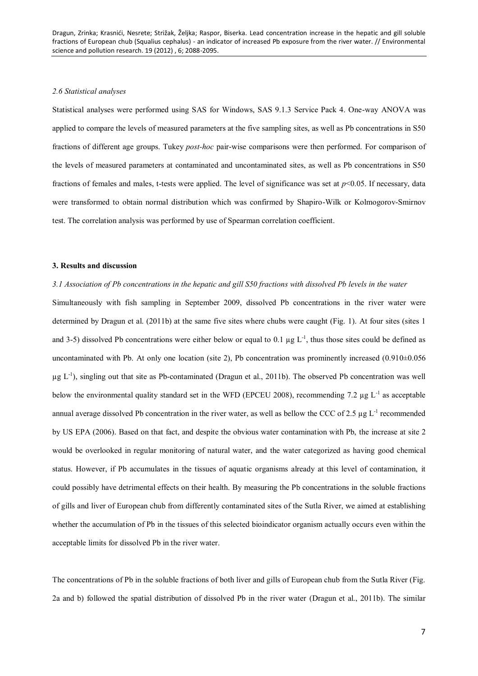# *2.6 Statistical analyses*

Statistical analyses were performed using SAS for Windows, SAS 9.1.3 Service Pack 4. One-way ANOVA was applied to compare the levels of measured parameters at the five sampling sites, as well as Pb concentrations in S50 fractions of different age groups. Tukey *post-hoc* pair-wise comparisons were then performed. For comparison of the levels of measured parameters at contaminated and uncontaminated sites, as well as Pb concentrations in S50 fractions of females and males, t-tests were applied. The level of significance was set at  $p<0.05$ . If necessary, data were transformed to obtain normal distribution which was confirmed by Shapiro-Wilk or Kolmogorov-Smirnov test. The correlation analysis was performed by use of Spearman correlation coefficient.

#### **3. Results and discussion**

*3.1 Association of Pb concentrations in the hepatic and gill S50 fractions with dissolved Pb levels in the water* Simultaneously with fish sampling in September 2009, dissolved Pb concentrations in the river water were determined by Dragun et al. (2011b) at the same five sites where chubs were caught (Fig. 1). At four sites (sites 1 and 3-5) dissolved Pb concentrations were either below or equal to 0.1  $\mu$ g L<sup>-1</sup>, thus those sites could be defined as uncontaminated with Pb. At only one location (site 2), Pb concentration was prominently increased  $(0.910\pm0.056$  $\mu$ g L<sup>-1</sup>), singling out that site as Pb-contaminated (Dragun et al., 2011b). The observed Pb concentration was well below the environmental quality standard set in the WFD (EPCEU 2008), recommending 7.2 µg L<sup>-1</sup> as acceptable annual average dissolved Pb concentration in the river water, as well as bellow the CCC of 2.5  $\mu$ g L<sup>-1</sup> recommended by US EPA (2006). Based on that fact, and despite the obvious water contamination with Pb, the increase at site 2 would be overlooked in regular monitoring of natural water, and the water categorized as having good chemical status. However, if Pb accumulates in the tissues of aquatic organisms already at this level of contamination, it could possibly have detrimental effects on their health. By measuring the Pb concentrations in the soluble fractions of gills and liver of European chub from differently contaminated sites of the Sutla River, we aimed at establishing whether the accumulation of Pb in the tissues of this selected bioindicator organism actually occurs even within the acceptable limits for dissolved Pb in the river water.

The concentrations of Pb in the soluble fractions of both liver and gills of European chub from the Sutla River (Fig. 2a and b) followed the spatial distribution of dissolved Pb in the river water (Dragun et al., 2011b). The similar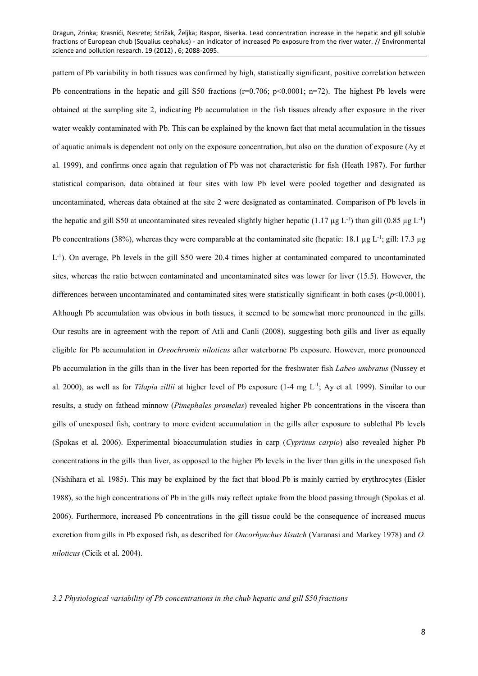pattern of Pb variability in both tissues was confirmed by high, statistically significant, positive correlation between Pb concentrations in the hepatic and gill S50 fractions ( $r=0.706$ ;  $p<0.0001$ ;  $n=72$ ). The highest Pb levels were obtained at the sampling site 2, indicating Pb accumulation in the fish tissues already after exposure in the river water weakly contaminated with Pb. This can be explained by the known fact that metal accumulation in the tissues of aquatic animals is dependent not only on the exposure concentration, but also on the duration of exposure (Ay et al. 1999), and confirms once again that regulation of Pb was not characteristic for fish (Heath 1987). For further statistical comparison, data obtained at four sites with low Pb level were pooled together and designated as uncontaminated, whereas data obtained at the site 2 were designated as contaminated. Comparison of Pb levels in the hepatic and gill S50 at uncontaminated sites revealed slightly higher hepatic (1.17 µg  $L^{-1}$ ) than gill (0.85 µg  $L^{-1}$ ) Pb concentrations (38%), whereas they were comparable at the contaminated site (hepatic: 18.1 µg L<sup>-1</sup>; gill: 17.3 µg L<sup>-1</sup>). On average, Pb levels in the gill S50 were 20.4 times higher at contaminated compared to uncontaminated sites, whereas the ratio between contaminated and uncontaminated sites was lower for liver (15.5). However, the differences between uncontaminated and contaminated sites were statistically significant in both cases (*p*<0.0001). Although Pb accumulation was obvious in both tissues, it seemed to be somewhat more pronounced in the gills. Our results are in agreement with the report of Atli and Canli (2008), suggesting both gills and liver as equally eligible for Pb accumulation in *Oreochromis niloticus* after waterborne Pb exposure. However, more pronounced Pb accumulation in the gills than in the liver has been reported for the freshwater fish *Labeo umbratus* (Nussey et al. 2000), as well as for *Tilapia zillii* at higher level of Pb exposure (1-4 mg L<sup>-1</sup>; Ay et al. 1999). Similar to our results, a study on fathead minnow (*Pimephales promelas*) revealed higher Pb concentrations in the viscera than gills of unexposed fish, contrary to more evident accumulation in the gills after exposure to sublethal Pb levels (Spokas et al. 2006). Experimental bioaccumulation studies in carp (*Cyprinus carpio*) also revealed higher Pb concentrations in the gills than liver, as opposed to the higher Pb levels in the liver than gills in the unexposed fish (Nishihara et al. 1985). This may be explained by the fact that blood Pb is mainly carried by erythrocytes (Eisler 1988), so the high concentrations of Pb in the gills may reflect uptake from the blood passing through (Spokas et al. 2006). Furthermore, increased Pb concentrations in the gill tissue could be the consequence of increased mucus excretion from gills in Pb exposed fish, as described for *Oncorhynchus kisutch* (Varanasi and Markey 1978) and *O. niloticus* (Cicik et al. 2004).

*3.2 Physiological variability of Pb concentrations in the chub hepatic and gill S50 fractions*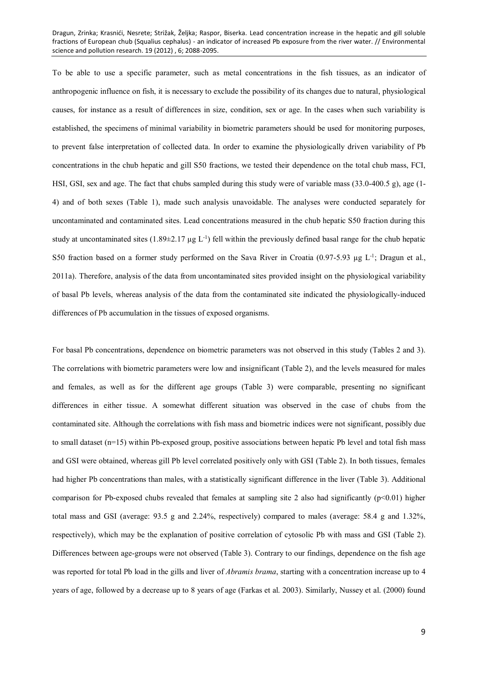To be able to use a specific parameter, such as metal concentrations in the fish tissues, as an indicator of anthropogenic influence on fish, it is necessary to exclude the possibility of its changes due to natural, physiological causes, for instance as a result of differences in size, condition, sex or age. In the cases when such variability is established, the specimens of minimal variability in biometric parameters should be used for monitoring purposes, to prevent false interpretation of collected data. In order to examine the physiologically driven variability of Pb concentrations in the chub hepatic and gill S50 fractions, we tested their dependence on the total chub mass, FCI, HSI, GSI, sex and age. The fact that chubs sampled during this study were of variable mass (33.0-400.5 g), age (1- 4) and of both sexes (Table 1), made such analysis unavoidable. The analyses were conducted separately for uncontaminated and contaminated sites. Lead concentrations measured in the chub hepatic S50 fraction during this study at uncontaminated sites  $(1.89\pm 2.17 \mu g L^{-1})$  fell within the previously defined basal range for the chub hepatic S50 fraction based on a former study performed on the Sava River in Croatia  $(0.97-5.93 \mu g L^{-1})$ ; Dragun et al., 2011a). Therefore, analysis of the data from uncontaminated sites provided insight on the physiological variability of basal Pb levels, whereas analysis of the data from the contaminated site indicated the physiologically-induced differences of Pb accumulation in the tissues of exposed organisms.

For basal Pb concentrations, dependence on biometric parameters was not observed in this study (Tables 2 and 3). The correlations with biometric parameters were low and insignificant (Table 2), and the levels measured for males and females, as well as for the different age groups (Table 3) were comparable, presenting no significant differences in either tissue. A somewhat different situation was observed in the case of chubs from the contaminated site. Although the correlations with fish mass and biometric indices were not significant, possibly due to small dataset (n=15) within Pb-exposed group, positive associations between hepatic Pb level and total fish mass and GSI were obtained, whereas gill Pb level correlated positively only with GSI (Table 2). In both tissues, females had higher Pb concentrations than males, with a statistically significant difference in the liver (Table 3). Additional comparison for Pb-exposed chubs revealed that females at sampling site 2 also had significantly  $(p<0.01)$  higher total mass and GSI (average: 93.5 g and 2.24%, respectively) compared to males (average: 58.4 g and 1.32%, respectively), which may be the explanation of positive correlation of cytosolic Pb with mass and GSI (Table 2). Differences between age-groups were not observed (Table 3). Contrary to our findings, dependence on the fish age was reported for total Pb load in the gills and liver of *Abramis brama*, starting with a concentration increase up to 4 years of age, followed by a decrease up to 8 years of age (Farkas et al. 2003). Similarly, Nussey et al. (2000) found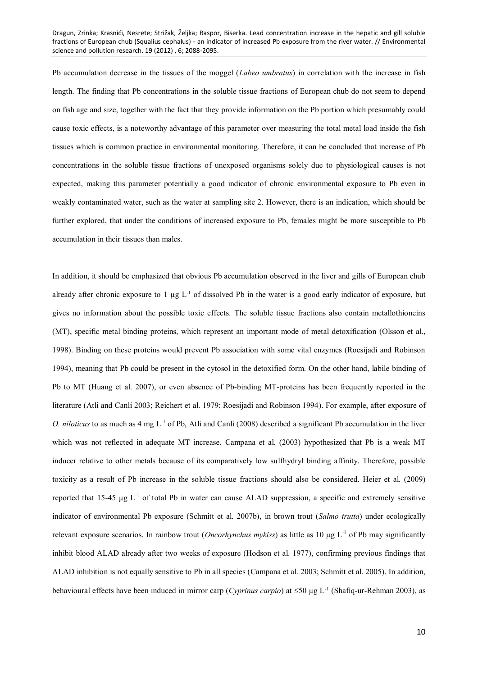Pb accumulation decrease in the tissues of the moggel (*Labeo umbratus*) in correlation with the increase in fish length. The finding that Pb concentrations in the soluble tissue fractions of European chub do not seem to depend on fish age and size, together with the fact that they provide information on the Pb portion which presumably could cause toxic effects, is a noteworthy advantage of this parameter over measuring the total metal load inside the fish tissues which is common practice in environmental monitoring. Therefore, it can be concluded that increase of Pb concentrations in the soluble tissue fractions of unexposed organisms solely due to physiological causes is not expected, making this parameter potentially a good indicator of chronic environmental exposure to Pb even in weakly contaminated water, such as the water at sampling site 2. However, there is an indication, which should be further explored, that under the conditions of increased exposure to Pb, females might be more susceptible to Pb accumulation in their tissues than males.

In addition, it should be emphasized that obvious Pb accumulation observed in the liver and gills of European chub already after chronic exposure to 1  $\mu$ g L<sup>-1</sup> of dissolved Pb in the water is a good early indicator of exposure, but gives no information about the possible toxic effects. The soluble tissue fractions also contain metallothioneins (MT), specific metal binding proteins, which represent an important mode of metal detoxification (Olsson et al., 1998). Binding on these proteins would prevent Pb association with some vital enzymes (Roesijadi and Robinson 1994), meaning that Pb could be present in the cytosol in the detoxified form. On the other hand, labile binding of Pb to MT (Huang et al. 2007), or even absence of Pb-binding MT-proteins has been frequently reported in the literature (Atli and Canli 2003; Reichert et al. 1979; Roesijadi and Robinson 1994). For example, after exposure of *O. niloticus* to as much as 4 mg L-1 of Pb, Atli and Canli (2008) described a significant Pb accumulation in the liver which was not reflected in adequate MT increase. Campana et al. (2003) hypothesized that Pb is a weak MT inducer relative to other metals because of its comparatively low sulfhydryl binding affinity. Therefore, possible toxicity as a result of Pb increase in the soluble tissue fractions should also be considered. Heier et al. (2009) reported that 15-45  $\mu$ g L<sup>-1</sup> of total Pb in water can cause ALAD suppression, a specific and extremely sensitive indicator of environmental Pb exposure (Schmitt et al. 2007b), in brown trout (*Salmo trutta*) under ecologically relevant exposure scenarios. In rainbow trout (*Oncorhynchus mykiss*) as little as 10  $\mu$ g L<sup>-1</sup> of Pb may significantly inhibit blood ALAD already after two weeks of exposure (Hodson et al. 1977), confirming previous findings that ALAD inhibition is not equally sensitive to Pb in all species (Campana et al. 2003; Schmitt et al. 2005). In addition, behavioural effects have been induced in mirror carp (*Cyprinus carpio*) at ≤50 µg L<sup>-1</sup> (Shafiq-ur-Rehman 2003), as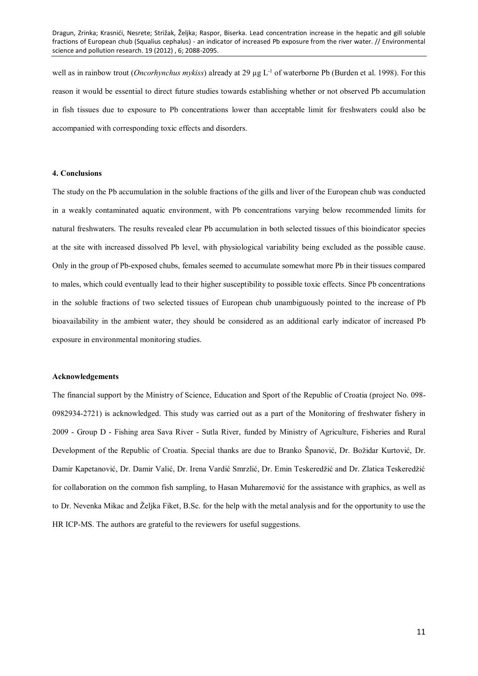well as in rainbow trout (*Oncorhynchus mykiss*) already at 29 µg L-1 of waterborne Pb (Burden et al. 1998). For this reason it would be essential to direct future studies towards establishing whether or not observed Pb accumulation in fish tissues due to exposure to Pb concentrations lower than acceptable limit for freshwaters could also be accompanied with corresponding toxic effects and disorders.

#### **4. Conclusions**

The study on the Pb accumulation in the soluble fractions of the gills and liver of the European chub was conducted in a weakly contaminated aquatic environment, with Pb concentrations varying below recommended limits for natural freshwaters. The results revealed clear Pb accumulation in both selected tissues of this bioindicator species at the site with increased dissolved Pb level, with physiological variability being excluded as the possible cause. Only in the group of Pb-exposed chubs, females seemed to accumulate somewhat more Pb in their tissues compared to males, which could eventually lead to their higher susceptibility to possible toxic effects. Since Pb concentrations in the soluble fractions of two selected tissues of European chub unambiguously pointed to the increase of Pb bioavailability in the ambient water, they should be considered as an additional early indicator of increased Pb exposure in environmental monitoring studies.

#### **Acknowledgements**

The financial support by the Ministry of Science, Education and Sport of the Republic of Croatia (project No. 098- 0982934-2721) is acknowledged. This study was carried out as a part of the Monitoring of freshwater fishery in 2009 - Group D - Fishing area Sava River - Sutla River, funded by Ministry of Agriculture, Fisheries and Rural Development of the Republic of Croatia. Special thanks are due to Branko Španović, Dr. Božidar Kurtović, Dr. Damir Kapetanović, Dr. Damir Valić, Dr. Irena Vardić Smrzlić, Dr. Emin Teskeredžić and Dr. Zlatica Teskeredžić for collaboration on the common fish sampling, to Hasan Muharemović for the assistance with graphics, as well as to Dr. Nevenka Mikac and Željka Fiket, B.Sc. for the help with the metal analysis and for the opportunity to use the HR ICP-MS. The authors are grateful to the reviewers for useful suggestions.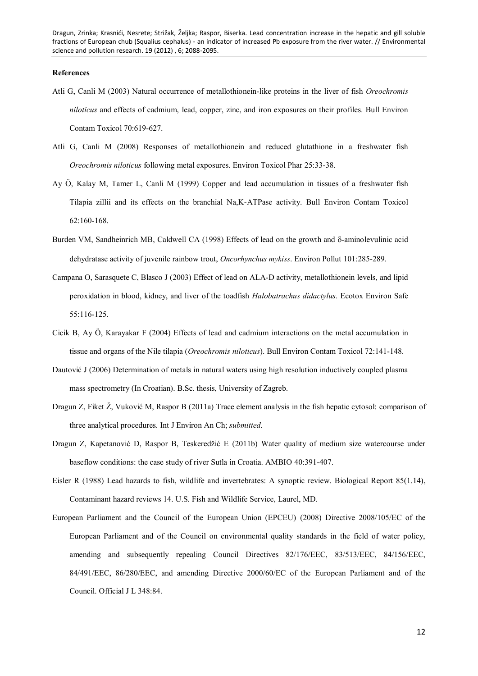#### **References**

- Atli G, Canli M (2003) Natural occurrence of metallothionein-like proteins in the liver of fish *Oreochromis niloticus* and effects of cadmium, lead, copper, zinc, and iron exposures on their profiles. Bull Environ Contam Toxicol 70:619-627.
- Atli G, Canli M (2008) Responses of metallothionein and reduced glutathione in a freshwater fish *Oreochromis niloticus* following metal exposures. Environ Toxicol Phar 25:33-38.
- Ay Ö, Kalay M, Tamer L, Canli M (1999) Copper and lead accumulation in tissues of a freshwater fish Tilapia zillii and its effects on the branchial Na,K-ATPase activity. Bull Environ Contam Toxicol 62:160-168.
- Burden VM, Sandheinrich MB, Caldwell CA (1998) Effects of lead on the growth and  $\delta$ -aminolevulinic acid dehydratase activity of juvenile rainbow trout, *Oncorhynchus mykiss*. Environ Pollut 101:285-289.
- Campana O, Sarasquete C, Blasco J (2003) Effect of lead on ALA-D activity, metallothionein levels, and lipid peroxidation in blood, kidney, and liver of the toadfish *Halobatrachus didactylus*. Ecotox Environ Safe 55:116-125.
- Cicik B, Ay Ö, Karayakar F (2004) Effects of lead and cadmium interactions on the metal accumulation in tissue and organs of the Nile tilapia (*Oreochromis niloticus*). Bull Environ Contam Toxicol 72:141-148.
- Dautović J (2006) Determination of metals in natural waters using high resolution inductively coupled plasma mass spectrometry (In Croatian). B.Sc. thesis, University of Zagreb.
- Dragun Z, Fiket Ž, Vuković M, Raspor B (2011a) Trace element analysis in the fish hepatic cytosol: comparison of three analytical procedures. Int J Environ An Ch; *submitted*.
- Dragun Z, Kapetanović D, Raspor B, Teskeredžić E (2011b) Water quality of medium size watercourse under baseflow conditions: the case study of river Sutla in Croatia. AMBIO 40:391-407.
- Eisler R (1988) Lead hazards to fish, wildlife and invertebrates: A synoptic review. Biological Report 85(1.14), Contaminant hazard reviews 14. U.S. Fish and Wildlife Service, Laurel, MD.
- European Parliament and the Council of the European Union (EPCEU) (2008) Directive 2008/105/EC of the European Parliament and of the Council on environmental quality standards in the field of water policy, amending and subsequently repealing Council Directives 82/176/EEC, 83/513/EEC, 84/156/EEC, 84/491/EEC, 86/280/EEC, and amending Directive 2000/60/EC of the European Parliament and of the Council. Official J L 348:84.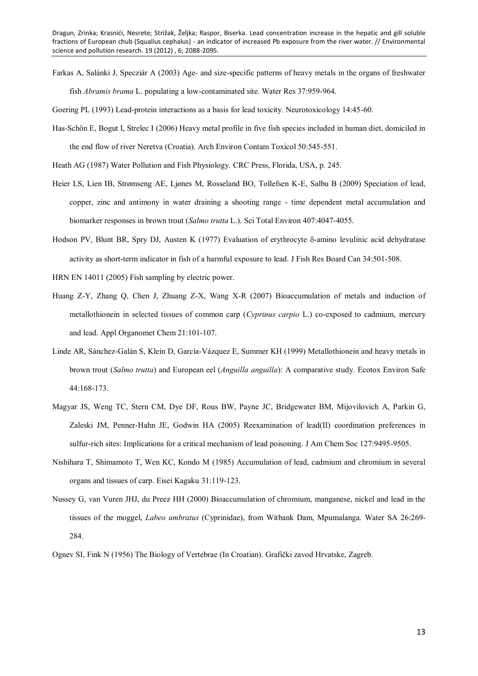Farkas A, Salánki J, Specziár A (2003) Age- and size-specific patterns of heavy metals in the organs of freshwater fish *Abramis brama* L. populating a low-contaminated site. Water Res 37:959-964.

Goering PL (1993) Lead-protein interactions as a basis for lead toxicity. Neurotoxicology 14:45-60.

- Has-Schön E, Bogut I, Strelec I (2006) Heavy metal profile in five fish species included in human diet, domiciled in the end flow of river Neretva (Croatia). Arch Environ Contam Toxicol 50:545-551.
- Heath AG (1987) Water Pollution and Fish Physiology. CRC Press, Florida, USA, p. 245.
- Heier LS, Lien IB, Strømseng AE, Ljønes M, Rosseland BO, Tollefsen K-E, Salbu B (2009) Speciation of lead, copper, zinc and antimony in water draining a shooting range - time dependent metal accumulation and biomarker responses in brown trout (*Salmo trutta* L.). Sci Total Environ 407:4047-4055.
- Hodson PV, Blunt BR, Spry DJ, Austen K (1977) Evaluation of erythrocyte  $\delta$ -amino levulinic acid dehydratase activity as short-term indicator in fish of a harmful exposure to lead. J Fish Res Board Can 34:501-508.
- HRN EN 14011 (2005) Fish sampling by electric power.
- Huang Z-Y, Zhang Q, Chen J, Zhuang Z-X, Wang X-R (2007) Bioaccumulation of metals and induction of metallothionein in selected tissues of common carp (*Cyprinus carpio* L.) co-exposed to cadmium, mercury and lead. Appl Organomet Chem 21:101-107.
- Linde AR, Sánchez-Galán S, Klein D, García-Vázquez E, Summer KH (1999) Metallothionein and heavy metals in brown trout (*Salmo trutta*) and European eel (*Anguilla anguilla*): A comparative study. Ecotox Environ Safe 44:168-173.
- Magyar JS, Weng TC, Stern CM, Dye DF, Rous BW, Payne JC, Bridgewater BM, Mijovilovich A, Parkin G, Zaleski JM, Penner-Hahn JE, Godwin HA (2005) Reexamination of lead(II) coordination preferences in sulfur-rich sites: Implications for a critical mechanism of lead poisoning. J Am Chem Soc 127:9495-9505.
- Nishihara T, Shimamoto T, Wen KC, Kondo M (1985) Accumulation of lead, cadmium and chromium in several organs and tissues of carp. Eisei Kagaku 31:119-123.
- Nussey G, van Vuren JHJ, du Preez HH (2000) Bioaccumulation of chromium, manganese, nickel and lead in the tissues of the moggel, *Labeo umbratus* (Cyprinidae), from Witbank Dam, Mpumalanga. Water SA 26:269- 284.

Ognev SI, Fink N (1956) The Biology of Vertebrae (In Croatian). Grafički zavod Hrvatske, Zagreb.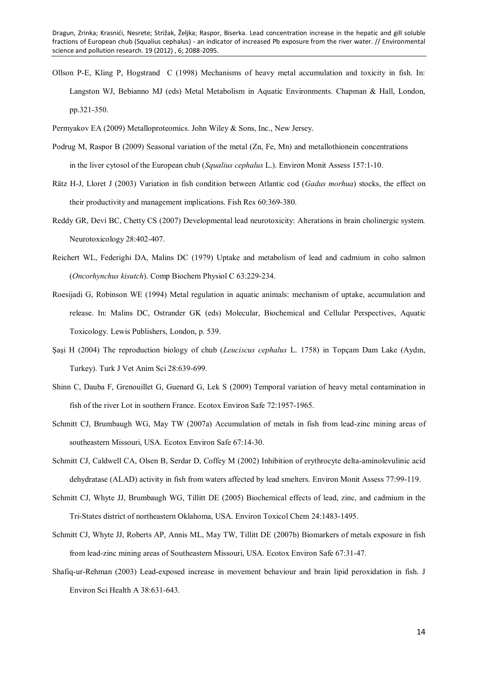Ollson P-E, Kling P, Hogstrand C (1998) Mechanisms of heavy metal accumulation and toxicity in fish. In: Langston WJ, Bebianno MJ (eds) Metal Metabolism in Aquatic Environments. Chapman & Hall, London, pp.321-350.

Permyakov EA (2009) Metalloproteomics. John Wiley & Sons, Inc., New Jersey.

- Podrug M, Raspor B (2009) Seasonal variation of the metal (Zn, Fe, Mn) and metallothionein concentrations in the liver cytosol of the European chub (*Squalius cephalus* L.). Environ Monit Assess 157:1-10.
- Rätz H-J, Lloret J (2003) Variation in fish condition between Atlantic cod (*Gadus morhua*) stocks, the effect on their productivity and management implications. Fish Res 60:369-380.
- Reddy GR, Devi BC, Chetty CS (2007) Developmental lead neurotoxicity: Alterations in brain cholinergic system. Neurotoxicology 28:402-407.
- Reichert WL, Federighi DA, Malins DC (1979) Uptake and metabolism of lead and cadmium in coho salmon (*Oncorhynchus kisutch*). Comp Biochem Physiol C 63:229-234.
- Roesijadi G, Robinson WE (1994) Metal regulation in aquatic animals: mechanism of uptake, accumulation and release. In: Malins DC, Ostrander GK (eds) Molecular, Biochemical and Cellular Perspectives, Aquatic Toxicology. Lewis Publishers, London, p. 539.
- Şaşi H (2004) The reproduction biology of chub (*Leuciscus cephalus* L. 1758) in Topçam Dam Lake (Aydın, Turkey). Turk J Vet Anim Sci 28:639-699.
- Shinn C, Dauba F, Grenouillet G, Guenard G, Lek S (2009) Temporal variation of heavy metal contamination in fish of the river Lot in southern France. Ecotox Environ Safe 72:1957-1965.
- Schmitt CJ, Brumbaugh WG, May TW (2007a) Accumulation of metals in fish from lead-zinc mining areas of southeastern Missouri, USA. Ecotox Environ Safe 67:14-30.
- Schmitt CJ, Caldwell CA, Olsen B, Serdar D, Coffey M (2002) Inhibition of erythrocyte delta-aminolevulinic acid dehydratase (ALAD) activity in fish from waters affected by lead smelters. Environ Monit Assess 77:99-119.
- Schmitt CJ, Whyte JJ, Brumbaugh WG, Tillitt DE (2005) Biochemical effects of lead, zinc, and cadmium in the Tri-States district of northeastern Oklahoma, USA. Environ Toxicol Chem 24:1483-1495.
- Schmitt CJ, Whyte JJ, Roberts AP, Annis ML, May TW, Tillitt DE (2007b) Biomarkers of metals exposure in fish from lead-zinc mining areas of Southeastern Missouri, USA. Ecotox Environ Safe 67:31-47.
- Shafiq-ur-Rehman (2003) Lead-exposed increase in movement behaviour and brain lipid peroxidation in fish. J Environ Sci Health A 38:631-643.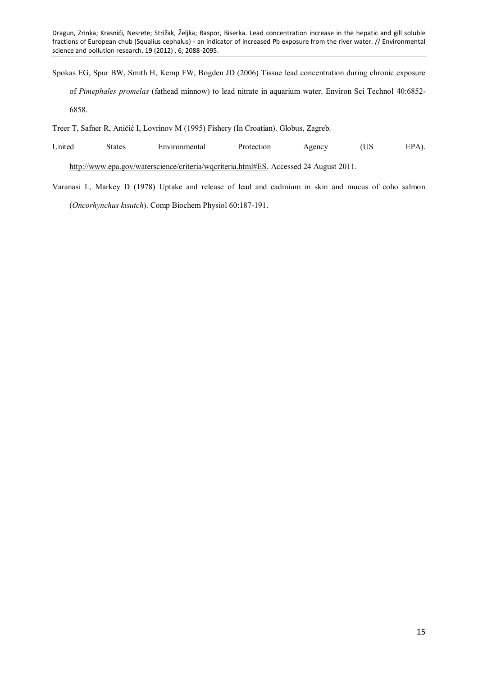Spokas EG, Spur BW, Smith H, Kemp FW, Bogden JD (2006) Tissue lead concentration during chronic exposure of *Pimephales promelas* (fathead minnow) to lead nitrate in aquarium water. Environ Sci Technol 40:6852- 6858.

Treer T, Safner R, Aničić I, Lovrinov M (1995) Fishery (In Croatian). Globus, Zagreb.

- United States Environmental Protection Agency (US EPA). <http://www.epa.gov/waterscience/criteria/wqcriteria.html#ES>. Accessed 24 August 2011.
- Varanasi L, Markey D (1978) Uptake and release of lead and cadmium in skin and mucus of coho salmon (*Oncorhynchus kisutch*). Comp Biochem Physiol 60:187-191.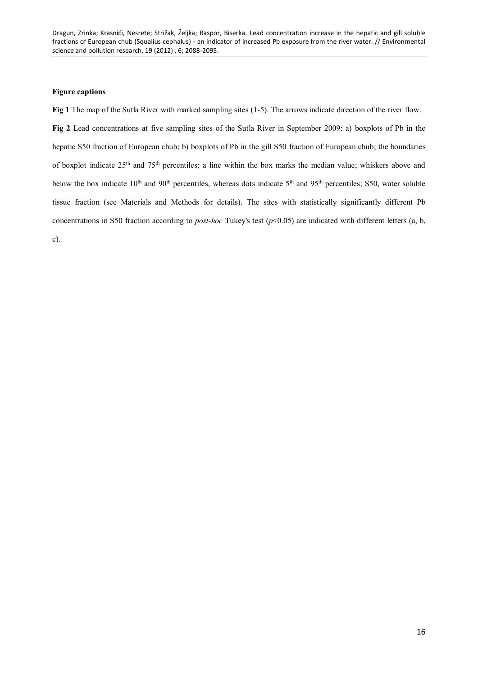## **Figure captions**

**Fig 1** The map of the Sutla River with marked sampling sites (1-5). The arrows indicate direction of the river flow. **Fig 2** Lead concentrations at five sampling sites of the Sutla River in September 2009: a) boxplots of Pb in the hepatic S50 fraction of European chub; b) boxplots of Pb in the gill S50 fraction of European chub; the boundaries of boxplot indicate 25<sup>th</sup> and 75<sup>th</sup> percentiles; a line within the box marks the median value; whiskers above and below the box indicate 10<sup>th</sup> and 90<sup>th</sup> percentiles, whereas dots indicate 5<sup>th</sup> and 95<sup>th</sup> percentiles; S50, water soluble tissue fraction (see Materials and Methods for details). The sites with statistically significantly different Pb concentrations in S50 fraction according to *post-hoc* Tukey's test  $(p<0.05)$  are indicated with different letters (a, b, c).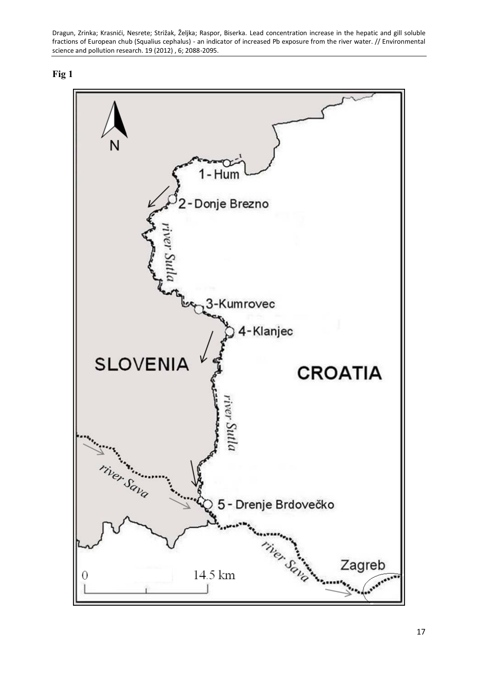

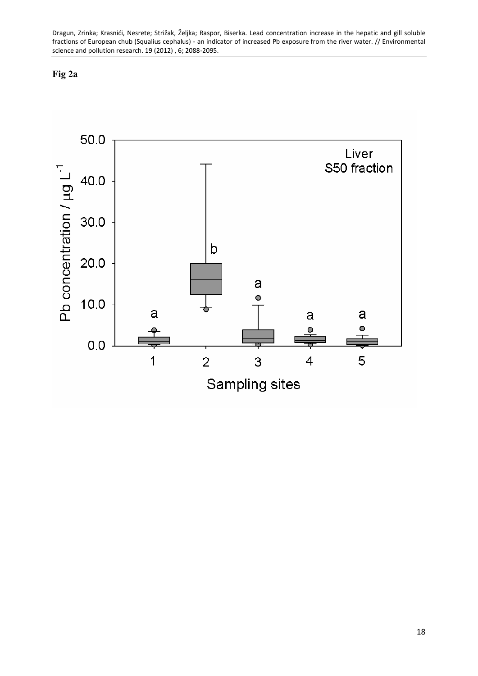# **Fig 2a**

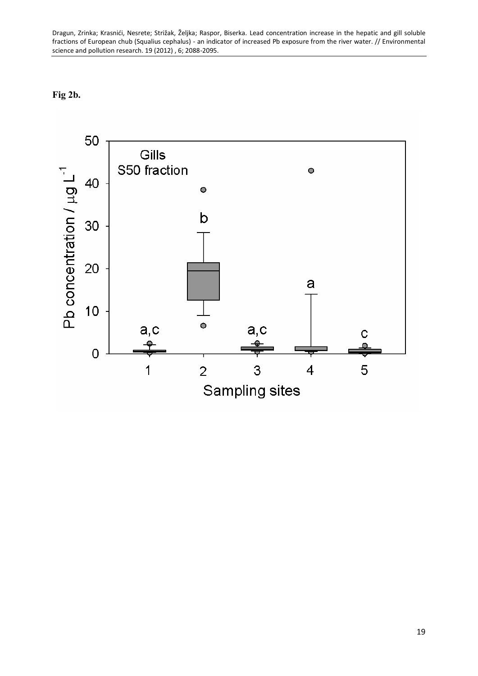**Fig 2b.**

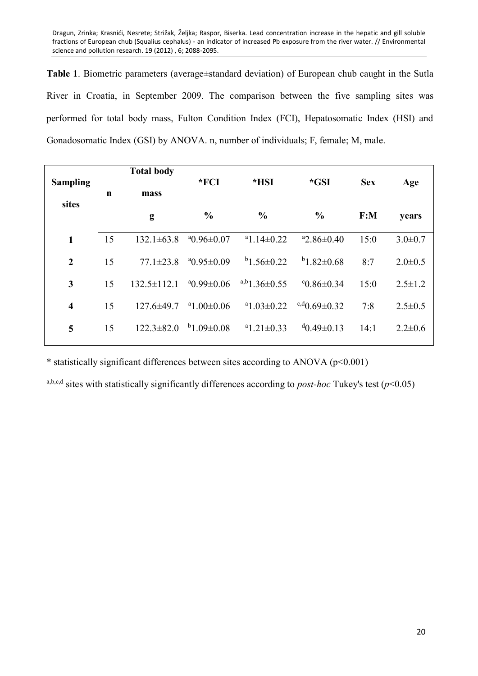**Table 1**. Biometric parameters (average±standard deviation) of European chub caught in the Sutla River in Croatia, in September 2009. The comparison between the five sampling sites was performed for total body mass, Fulton Condition Index (FCI), Hepatosomatic Index (HSI) and Gonadosomatic Index (GSI) by ANOVA. n, number of individuals; F, female; M, male.

| <b>Sampling</b><br>sites | $\mathbf n$ | <b>Total body</b><br>mass | $*FCI$<br>*HSI         |                     | *GSI                   | <b>Sex</b> | Age           |
|--------------------------|-------------|---------------------------|------------------------|---------------------|------------------------|------------|---------------|
|                          |             | g                         | $\frac{0}{0}$          | $\frac{0}{0}$       | $\frac{0}{0}$          | F: M       | years         |
| $\mathbf{1}$             | 15          | $132.1 \pm 63.8$          | $^{\circ}0.96\pm0.07$  | $a_{1.14\pm0.22}$   | $a2.86\pm0.40$         | 15:0       | $3.0 \pm 0.7$ |
| $\overline{2}$           | 15          | $77.1 \pm 23.8$           | $a_{0.95\pm0.09}$      | $b$ 1.56 $\pm$ 0.22 | $b$ 1.82 $\pm$ 0.68    | 8:7        | $2.0 \pm 0.5$ |
| 3                        | 15          | $132.5 \pm 112.1$         | $^{a}$ 0.99 $\pm$ 0.06 | $a,b1.36\pm0.55$    | $°C0.86\pm0.34$        | 15:0       | $2.5 \pm 1.2$ |
| $\overline{\mathbf{4}}$  | 15          | $127.6 \pm 49.7$          | $^{\circ}1.00\pm0.06$  | $a_{1.03\pm0.22}$   | $c,d_{0.69\pm0.32}$    | 7:8        | $2.5 \pm 0.5$ |
| 5                        | 15          | $122.3 \pm 82.0$          | $b_{1.09\pm0.08}$      | $a_{1.21\pm0.33}$   | $^{d}$ 0.49 $\pm$ 0.13 | 14:1       | $2.2 \pm 0.6$ |

\* statistically significant differences between sites according to ANOVA (p<0.001)

a,b,c,d sites with statistically significantly differences according to *post-hoc* Tukey's test ( $p$ <0.05)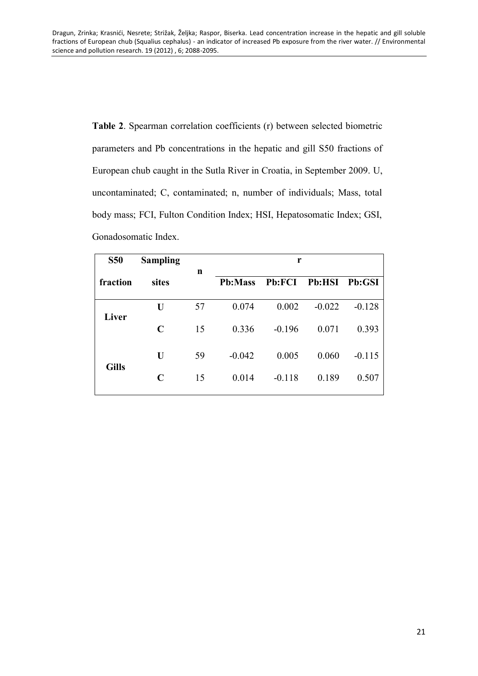**Table 2**. Spearman correlation coefficients (r) between selected biometric parameters and Pb concentrations in the hepatic and gill S50 fractions of European chub caught in the Sutla River in Croatia, in September 2009. U, uncontaminated; C, contaminated; n, number of individuals; Mass, total body mass; FCI, Fulton Condition Index; HSI, Hepatosomatic Index; GSI, Gonadosomatic Index.

| <b>S50</b>   | <b>Sampling</b> |             | r              |               |               |          |  |  |
|--------------|-----------------|-------------|----------------|---------------|---------------|----------|--|--|
| fraction     | sites           | $\mathbf n$ | <b>Pb:Mass</b> | <b>Pb:FCI</b> | <b>Pb:HSI</b> | Pb:GSI   |  |  |
| Liver        | U               | 57          | 0.074          | 0.002         | $-0.022$      | $-0.128$ |  |  |
|              | $\mathbf C$     | 15          | 0.336          | $-0.196$      | 0.071         | 0.393    |  |  |
| <b>Gills</b> | U               | 59          | $-0.042$       | 0.005         | 0.060         | $-0.115$ |  |  |
|              | C               | 15          | 0.014          | $-0.118$      | 0.189         | 0.507    |  |  |